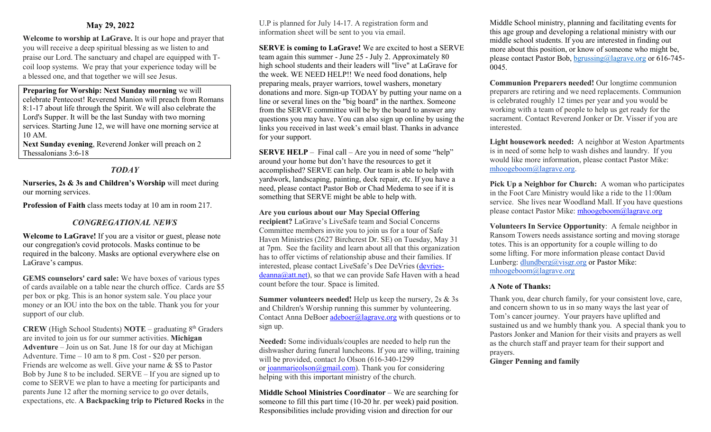# **May 29, 2022**

**Welcome to worship at LaGrave.** It is our hope and prayer that you will receive a deep spiritual blessing as we listen to and praise our Lord. The sanctuary and chapel are equipped with Tcoil loop systems. We pray that your experience today will be a blessed one, and that together we will see Jesus.

**Preparing for Worship: Next Sunday morning** we will celebrate Pentecost! Reverend Manion will preach from Romans 8:1-17 about life through the Spirit. We will also celebrate the Lord's Supper. It will be the last Sunday with two morning services. Starting June 12, we will have one morning service at 10 AM.

**Next Sunday evening**, Reverend Jonker will preach on 2 Thessalonians 3:6-18

# *TODAY*

**Nurseries, 2s & 3s and Children's Worship** will meet during our morning services.

**Profession of Faith** class meets today at 10 am in room 217.

# *CONGREGATIONAL NEWS*

**Welcome to LaGrave!** If you are a visitor or guest, please note our congregation's covid protocols. Masks continue to be required in the balcony. Masks are optional everywhere else on LaGrave's campus.

**GEMS counselors' card sale:** We have boxes of various types of cards available on a table near the church office. Cards are \$5 per box or pkg. This is an honor system sale. You place your money or an IOU into the box on the table. Thank you for your support of our club.

**CREW** (High School Students) **NOTE** – graduating 8th Graders are invited to join us for our summer activities. **Michigan Adventure** – Join us on Sat. June 18 for our day at Michigan Adventure. Time – 10 am to 8 pm. Cost - \$20 per person. Friends are welcome as well. Give your name & \$\$ to Pastor Bob by June 8 to be included. SERVE – If you are signed up to come to SERVE we plan to have a meeting for participants and parents June 12 after the morning service to go over details, expectations, etc. **A Backpacking trip to Pictured Rocks** in the U.P is planned for July 14-17. A registration form and information sheet will be sent to you via email.

**SERVE is coming to LaGrave!** We are excited to host a SERVE team again this summer - June 25 - July 2. Approximately 80 high school students and their leaders will "live" at LaGrave for the week. WE NEED HELP!! We need food donations, help preparing meals, prayer warriors, towel washers, monetary donations and more. Sign-up TODAY by putting your name on a line or several lines on the "big board" in the narthex. Someone from the SERVE committee will be by the board to answer any questions you may have. You can also sign up online by using the links you received in last week's email blast. Thanks in advance for your support.

**SERVE HELP** – Final call – Are you in need of some "help" around your home but don't have the resources to get it accomplished? SERVE can help. Our team is able to help with yardwork, landscaping, painting, deck repair, etc. If you have a need, please contact Pastor Bob or Chad Medema to see if it is something that SERVE might be able to help with.

**Are you curious about our May Special Offering recipient?** LaGrave's LiveSafe team and Social Concerns Committee members invite you to join us for a tour of Safe Haven Ministries (2627 Birchcrest Dr. SE) on Tuesday, May 31 at 7pm. See the facility and learn about all that this organization has to offer victims of relationship abuse and their families. If interested, please contact LiveSafe's Dee DeVries [\(devries](mailto:devries-deanna@att.net) $deanna@att.net$ , so that we can provide Safe Haven with a head count before the tour. Space is limited.

**Summer volunteers needed!** Help us keep the nursery, 2s & 3s and Children's Worship running this summer by volunteering. Contact Anna DeBoer [adeboer@lagrave.org](mailto:adeboer@lagrave.org) with questions or to sign up.

**Needed:** Some individuals/couples are needed to help run the dishwasher during funeral luncheons. If you are willing, training will be provided, contact Jo Olson (616-340-1299 or [joanmarieolson@gmail.com\)](mailto:joanmarieolson@gmail.com). Thank you for considering helping with this important ministry of the church.

**Middle School Ministries Coordinator** – We are searching for someone to fill this part time (10-20 hr. per week) paid position. Responsibilities include providing vision and direction for our

Middle School ministry, planning and facilitating events for this age group and developing a relational ministry with our middle school students. If you are interested in finding out more about this position, or know of someone who might be, please contact Pastor Bob, [bgrussing@lagrave.org](mailto:bgrussing@lagrave.org) or 616-745- 0045.

**Communion Preparers needed!** Our longtime communion preparers are retiring and we need replacements. Communion is celebrated roughly 12 times per year and you would be working with a team of people to help us get ready for the sacrament. Contact Reverend Jonker or Dr. Visser if you are interested.

**Light housework needed:** A neighbor at Weston Apartments is in need of some help to wash dishes and laundry. If you would like more information, please contact Pastor Mike: [mhoogeboom@lagrave.org](mailto:mhoogeboom@lagrave.org).

**Pick Up a Neighbor for Church:** A woman who participates in the Foot Care Ministry would like a ride to the 11:00am service. She lives near Woodland Mall. If you have questions please contact Pastor Mike: [mhoogeboom@lagrave.org](mailto:mhoogeboom@lagrave.org)

**Volunteers In Service Opportunity**: A female neighbor in Ransom Towers needs assistance sorting and moving storage totes. This is an opportunity for a couple willing to do some lifting. For more information please contact David Lunberg: [dlundberg@visgr.org](mailto:dlundberg@visgr.org) or Pastor Mike: [mhoogeboom@lagrave.org](mailto:mhoogeboom@lagrave.org)

## **A Note of Thanks:**

Thank you, dear church family, for your consistent love, care, and concern shown to us in so many ways the last year of Tom's cancer journey. Your prayers have uplifted and sustained us and we humbly thank you. A special thank you to Pastors Jonker and Manion for their visits and prayers as well as the church staff and prayer team for their support and prayers.

**Ginger Penning and family**